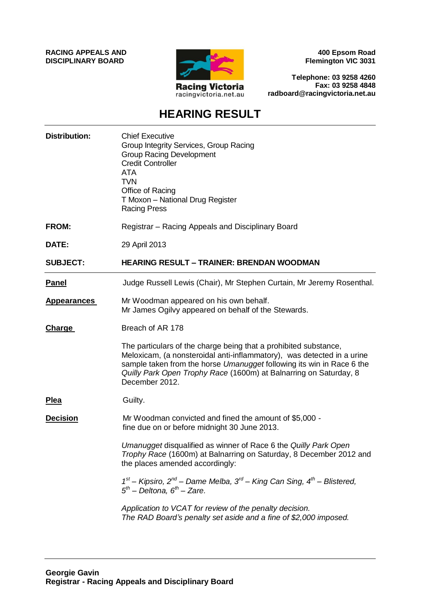**RACING APPEALS AND DISCIPLINARY BOARD**



**400 Epsom Road Flemington VIC 3031**

**Telephone: 03 9258 4260 Fax: 03 9258 4848 radboard@racingvictoria.net.au**

## **HEARING RESULT**

| <b>Distribution:</b> | <b>Chief Executive</b><br>Group Integrity Services, Group Racing<br><b>Group Racing Development</b><br><b>Credit Controller</b><br><b>ATA</b><br><b>TVN</b><br>Office of Racing<br>T Moxon - National Drug Register<br><b>Racing Press</b>                                                                 |
|----------------------|------------------------------------------------------------------------------------------------------------------------------------------------------------------------------------------------------------------------------------------------------------------------------------------------------------|
| <b>FROM:</b>         | Registrar – Racing Appeals and Disciplinary Board                                                                                                                                                                                                                                                          |
| DATE:                | 29 April 2013                                                                                                                                                                                                                                                                                              |
| <b>SUBJECT:</b>      | <b>HEARING RESULT - TRAINER: BRENDAN WOODMAN</b>                                                                                                                                                                                                                                                           |
| <b>Panel</b>         | Judge Russell Lewis (Chair), Mr Stephen Curtain, Mr Jeremy Rosenthal.                                                                                                                                                                                                                                      |
| <b>Appearances</b>   | Mr Woodman appeared on his own behalf.<br>Mr James Ogilvy appeared on behalf of the Stewards.                                                                                                                                                                                                              |
| <b>Charge</b>        | Breach of AR 178                                                                                                                                                                                                                                                                                           |
|                      | The particulars of the charge being that a prohibited substance,<br>Meloxicam, (a nonsteroidal anti-inflammatory), was detected in a urine<br>sample taken from the horse Umanugget following its win in Race 6 the<br>Quilly Park Open Trophy Race (1600m) at Balnarring on Saturday, 8<br>December 2012. |
| <u>Plea</u>          | Guilty.                                                                                                                                                                                                                                                                                                    |
| <b>Decision</b>      | Mr Woodman convicted and fined the amount of \$5,000 -<br>fine due on or before midnight 30 June 2013.                                                                                                                                                                                                     |
|                      | Umanugget disqualified as winner of Race 6 the Quilly Park Open<br>Trophy Race (1600m) at Balnarring on Saturday, 8 December 2012 and<br>the places amended accordingly:                                                                                                                                   |
|                      | $1st$ – Kipsiro, $2nd$ – Dame Melba, $3rd$ – King Can Sing, $4th$ – Blistered,<br>$5th$ – Deltona, $6th$ – Zare.                                                                                                                                                                                           |
|                      | Application to VCAT for review of the penalty decision.<br>The RAD Board's penalty set aside and a fine of \$2,000 imposed.                                                                                                                                                                                |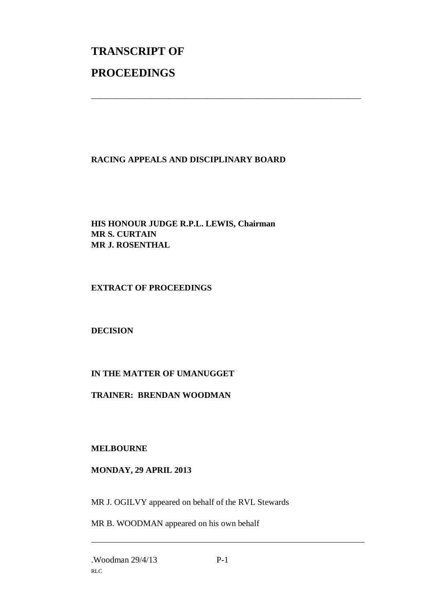# **TRANSCRIPT OF PROCEEDINGS**

#### **RACING APPEALS AND DISCIPLINARY BOARD**

\_\_\_\_\_\_\_\_\_\_\_\_\_\_\_\_\_\_\_\_\_\_\_\_\_\_\_\_\_\_\_\_\_\_\_\_\_\_\_\_\_\_\_\_\_\_\_\_\_\_\_\_\_\_\_\_\_\_\_\_\_\_\_

**HIS HONOUR JUDGE R.P.L. LEWIS, Chairman MR S. CURTAIN MR J. ROSENTHAL**

**EXTRACT OF PROCEEDINGS**

**DECISION**

### **IN THE MATTER OF UMANUGGET**

**TRAINER: BRENDAN WOODMAN**

**MELBOURNE**

#### **MONDAY, 29 APRIL 2013**

MR J. OGILVY appeared on behalf of the RVL Stewards

MR B. WOODMAN appeared on his own behalf